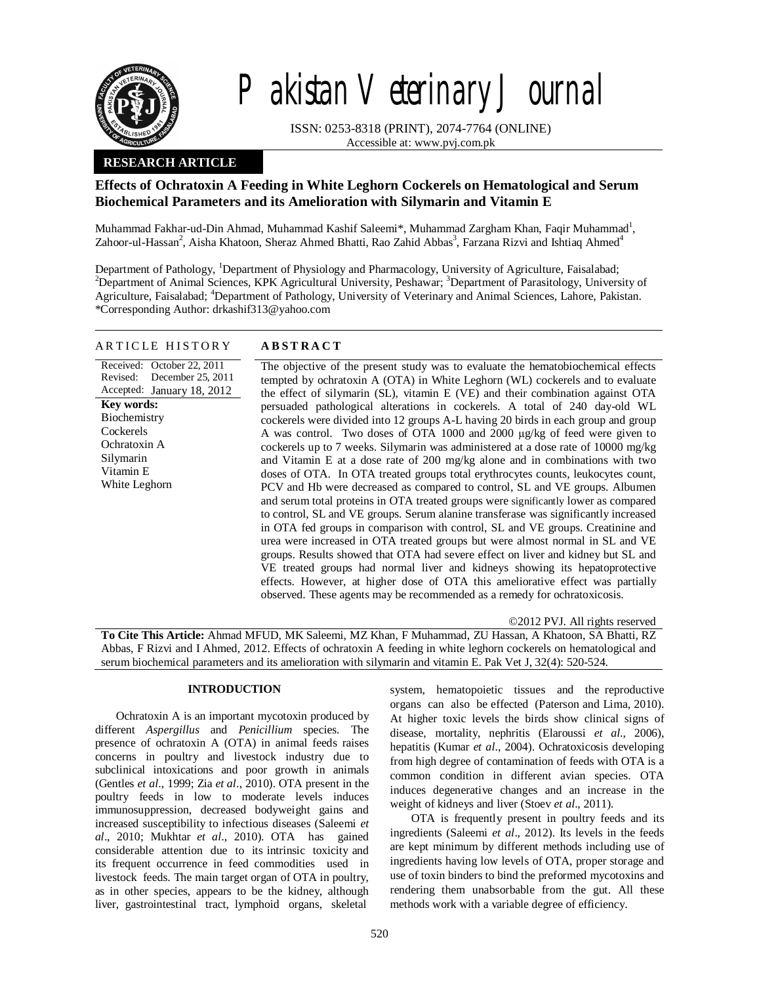

# Pakistan Veterinary Journal

ISSN: 0253-8318 (PRINT), 2074-7764 (ONLINE) Accessible at: www.pvj.com.pk

# **RESEARCH ARTICLE**

# **Effects of Ochratoxin A Feeding in White Leghorn Cockerels on Hematological and Serum Biochemical Parameters and its Amelioration with Silymarin and Vitamin E**

Muhammad Fakhar-ud-Din Ahmad, Muhammad Kashif Saleemi\*, Muhammad Zargham Khan, Faqir Muhammad<sup>1</sup>, Zahoor-ul-Hassan<sup>2</sup>, Aisha Khatoon, Sheraz Ahmed Bhatti, Rao Zahid Abbas<sup>3</sup>, Farzana Rizvi and Ishtiaq Ahmed<sup>4</sup>

Department of Pathology, <sup>1</sup>Department of Physiology and Pharmacology, University of Agriculture, Faisalabad; <sup>2</sup>Department of Animal Sciences, KPK Agricultural University, Peshawar; <sup>3</sup>Department of Parasitology, University of Agriculture, Faisalabad; <sup>4</sup>Department of Pathology, University of Veterinary and Animal Sciences, Lahore, Pakistan. \*Corresponding Author: drkashif313@yahoo.com

## A R T I C L E H I S T O R Y **A B S T R A C T**

Received: October 22, 2011 Revised: Accepted: January 18, 2012 December 25, 2011 The objective of the present study was to evaluate the hematobiochemical effects tempted by ochratoxin A (OTA) in White Leghorn (WL) cockerels and to evaluate the effect of silymarin (SL), vitamin E (VE) and their combination against OTA persuaded pathological alterations in cockerels. A total of 240 day-old WL cockerels were divided into 12 groups A-L having 20 birds in each group and group A was control. Two doses of OTA 1000 and 2000 µg/kg of feed were given to cockerels up to 7 weeks. Silymarin was administered at a dose rate of 10000 mg/kg and Vitamin E at a dose rate of 200 mg/kg alone and in combinations with two doses of OTA. In OTA treated groups total erythrocytes counts, leukocytes count, PCV and Hb were decreased as compared to control, SL and VE groups. Albumen and serum total proteins in OTA treated groups were significantly lower as compared to control, SL and VE groups. Serum alanine transferase was significantly increased in OTA fed groups in comparison with control, SL and VE groups. Creatinine and urea were increased in OTA treated groups but were almost normal in SL and VE groups. Results showed that OTA had severe effect on liver and kidney but SL and VE treated groups had normal liver and kidneys showing its hepatoprotective effects. However, at higher dose of OTA this ameliorative effect was partially observed. These agents may be recommended as a remedy for ochratoxicosis. **Key words:**  Biochemistry Cockerels Ochratoxin A Silymarin Vitamin E White Leghorn

©2012 PVJ. All rights reserved

**To Cite This Article:** Ahmad MFUD, MK Saleemi, MZ Khan, F Muhammad, ZU Hassan, A Khatoon, SA Bhatti, RZ Abbas, F Rizvi and I Ahmed, 2012. Effects of ochratoxin A feeding in white leghorn cockerels on hematological and serum biochemical parameters and its amelioration with silymarin and vitamin E. Pak Vet J, 32(4): 520-524.

# **INTRODUCTION**

Ochratoxin A is an important mycotoxin produced by different *Aspergillus* and *Penicillium* species. The presence of ochratoxin A (OTA) in animal feeds raises concerns in poultry and livestock industry due to subclinical intoxications and poor growth in animals (Gentles *et al*., 1999; Zia *et al*., 2010). OTA present in the poultry feeds in low to moderate levels induces immunosuppression, decreased bodyweight gains and increased susceptibility to infectious diseases (Saleemi *et al*., 2010; Mukhtar *et al*., 2010). OTA has gained considerable attention due to its intrinsic toxicity and its frequent occurrence in feed commodities used in livestock feeds. The main target organ of OTA in poultry, as in other species, appears to be the kidney, although liver, gastrointestinal tract, lymphoid organs, skeletal

system, hematopoietic tissues and the reproductive organs can also be effected (Paterson and Lima, 2010). At higher toxic levels the birds show clinical signs of disease, mortality, nephritis (Elaroussi *et al*., 2006), hepatitis (Kumar *et al*., 2004). Ochratoxicosis developing from high degree of contamination of feeds with OTA is a common condition in different avian species. OTA induces degenerative changes and an increase in the weight of kidneys and liver (Stoev *et al*., 2011).

OTA is frequently present in poultry feeds and its ingredients (Saleemi *et al*., 2012). Its levels in the feeds are kept minimum by different methods including use of ingredients having low levels of OTA, proper storage and use of toxin binders to bind the preformed mycotoxins and rendering them unabsorbable from the gut. All these methods work with a variable degree of efficiency.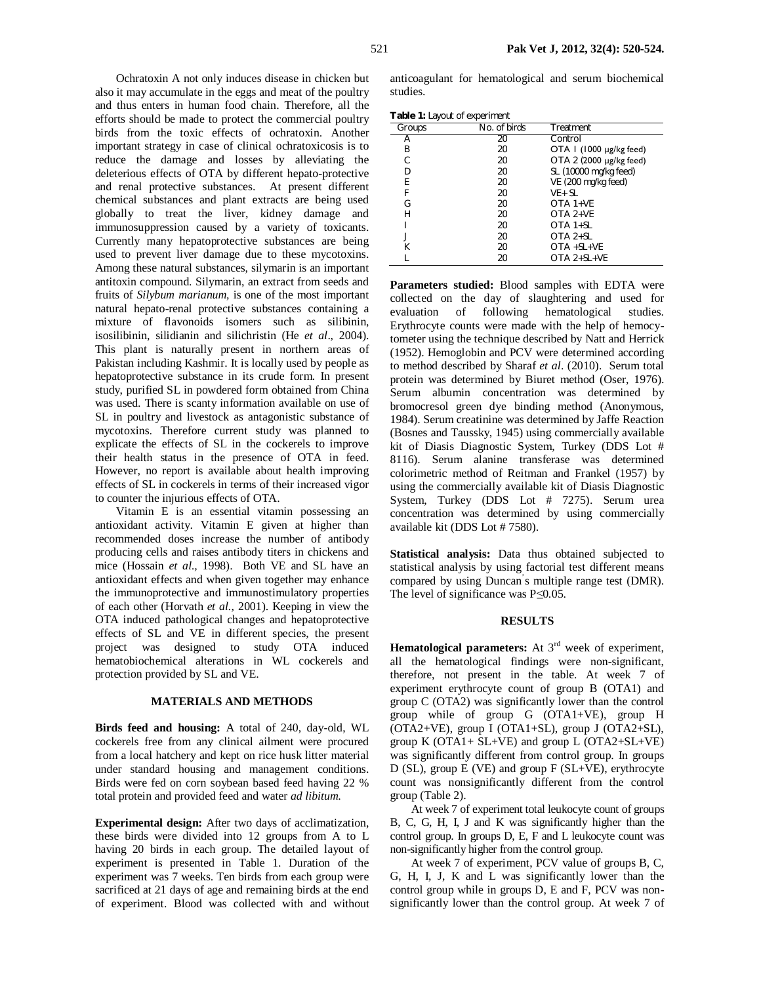Ochratoxin A not only induces disease in chicken but also it may accumulate in the eggs and meat of the poultry and thus enters in human food chain. Therefore, all the efforts should be made to protect the commercial poultry birds from the toxic effects of ochratoxin. Another important strategy in case of clinical ochratoxicosis is to reduce the damage and losses by alleviating the deleterious effects of OTA by different hepato-protective and renal protective substances. At present different chemical substances and plant extracts are being used globally to treat the liver, kidney damage and immunosuppression caused by a variety of toxicants. Currently many hepatoprotective substances are being used to prevent liver damage due to these mycotoxins. Among these natural substances, silymarin is an important antitoxin compound. Silymarin, an extract from seeds and fruits of *Silybum marianum,* is one of the most important natural hepato-renal protective substances containing a mixture of flavonoids isomers such as silibinin, isosilibinin, silidianin and silichristin (He *et al*., 2004). This plant is naturally present in northern areas of Pakistan including Kashmir. It is locally used by people as hepatoprotective substance in its crude form. In present study, purified SL in powdered form obtained from China was used. There is scanty information available on use of SL in poultry and livestock as antagonistic substance of mycotoxins. Therefore current study was planned to explicate the effects of SL in the cockerels to improve their health status in the presence of OTA in feed. However, no report is available about health improving effects of SL in cockerels in terms of their increased vigor to counter the injurious effects of OTA.

Vitamin E is an essential vitamin possessing an antioxidant activity. Vitamin E given at higher than recommended doses increase the number of antibody producing cells and raises antibody titers in chickens and mice (Hossain *et al.,* 1998). Both VE and SL have an antioxidant effects and when given together may enhance the immunoprotective and immunostimulatory properties of each other (Horvath *et al.,* 2001). Keeping in view the OTA induced pathological changes and hepatoprotective effects of SL and VE in different species, the present project was designed to study OTA induced hematobiochemical alterations in WL cockerels and protection provided by SL and VE.

#### **MATERIALS AND METHODS**

**Birds feed and housing:** A total of 240, day-old, WL cockerels free from any clinical ailment were procured from a local hatchery and kept on rice husk litter material under standard housing and management conditions. Birds were fed on corn soybean based feed having 22 % total protein and provided feed and water *ad libitum*.

**Experimental design:** After two days of acclimatization, these birds were divided into 12 groups from A to L having 20 birds in each group. The detailed layout of experiment is presented in Table 1. Duration of the experiment was 7 weeks. Ten birds from each group were sacrificed at 21 days of age and remaining birds at the end of experiment. Blood was collected with and without

anticoagulant for hematological and serum biochemical studies.

**Table 1:** Layout of experiment

| Groups | No. of birds | Treatment               |
|--------|--------------|-------------------------|
| А      | 20           | Control                 |
| Β      | 20           | OTA I (1000 µg/kg feed) |
| С      | 20           | OTA 2 (2000 µg/kg feed) |
| D      | 20           | SL (10000 mg/kg feed)   |
| E      | 20           | VE (200 mg/kg feed)     |
| F      | 20           | $VE + SL$               |
| G      | 20           | $OTA 1+VE$              |
| Н      | 20           | $OTA 2+VE$              |
|        | 20           | OTA 1+SL                |
|        | 20           | $OTA 2+SL$              |
| К      | 20           | $OTA + SL + VE$         |
|        | 20           | $OTA$ 2+ $SL+VE$        |

**Parameters studied:** Blood samples with EDTA were collected on the day of slaughtering and used for evaluation of following hematological studies. Erythrocyte counts were made with the help of hemocytometer using the technique described by Natt and Herrick (1952). Hemoglobin and PCV were determined according to method described by Sharaf *et al*. (2010). Serum total protein was determined by Biuret method (Oser, 1976). Serum albumin concentration was determined by bromocresol green dye binding method (Anonymous, 1984). Serum creatinine was determined by Jaffe Reaction (Bosnes and Taussky, 1945) using commercially available kit of Diasis Diagnostic System, Turkey (DDS Lot # 8116). Serum alanine transferase was determined colorimetric method of Reitman and Frankel (1957) by using the commercially available kit of Diasis Diagnostic System, Turkey (DDS Lot # 7275). Serum urea concentration was determined by using commercially available kit (DDS Lot # 7580).

**Statistical analysis:** Data thus obtained subjected to statistical analysis by using factorial test different means compared by using Duncan' s multiple range test (DMR). The level of significance was P*≤*0.05.

### **RESULTS**

Hematological parameters: At 3<sup>rd</sup> week of experiment, all the hematological findings were non-significant, therefore, not present in the table. At week 7 of experiment erythrocyte count of group B (OTA1) and group C (OTA2) was significantly lower than the control group while of group G (OTA1+VE), group H (OTA2+VE), group I (OTA1+SL), group J (OTA2+SL), group  $K$  (OTA1+ SL+VE) and group  $L$  (OTA2+SL+VE) was significantly different from control group. In groups D (SL), group E (VE) and group F (SL+VE), erythrocyte count was nonsignificantly different from the control group (Table 2).

At week 7 of experiment total leukocyte count of groups B, C, G, H, I, J and K was significantly higher than the control group. In groups D, E, F and L leukocyte count was non-significantly higher from the control group.

At week 7 of experiment, PCV value of groups B, C, G, H, I, J, K and L was significantly lower than the control group while in groups D, E and F, PCV was nonsignificantly lower than the control group. At week 7 of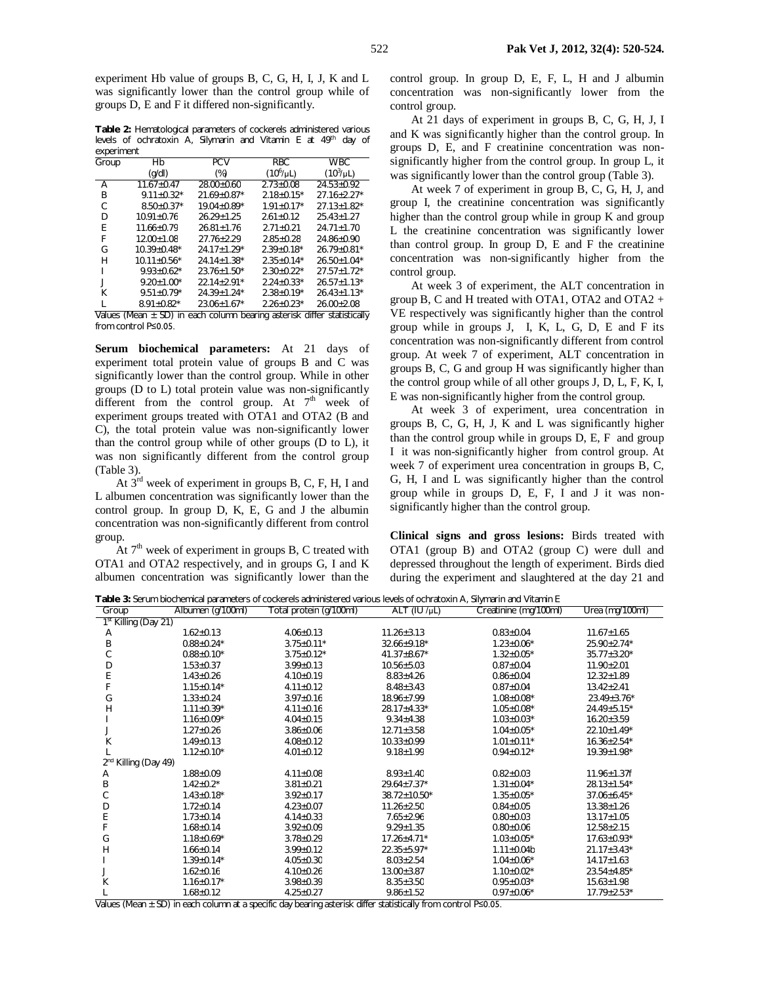experiment Hb value of groups B, C, G, H, I, J, K and L was significantly lower than the control group while of groups D, E and F it differed non-significantly.

**Table 2:** Hematological parameters of cockerels administered various levels of ochratoxin A, Silymarin and Vitamin E at 49<sup>th</sup> day of experiment

| Group | Hb                       | <b>PCV</b>                                        | <b>RBC</b>        | <b>WBC</b>       |
|-------|--------------------------|---------------------------------------------------|-------------------|------------------|
|       | (q/dl)                   | (%)                                               | $(10^6/\mu L)$    | $(10^3/\mu L)$   |
| Α     | $11.67 + 0.47$           | $28.00 \pm 0.60$                                  | $2.73 + 0.08$     | $24.53 + 0.92$   |
| В     | $9.11 \pm 0.32$ *        | $21.69 + 0.87*$                                   | $2.18 \pm 0.15^*$ | $27.16 + 2.27*$  |
| С     | $8.50 + 0.37*$           | $19.04 + 0.89*$                                   | $1.91 + 0.17*$    | $27.13 + 1.82*$  |
| D     | $10.91 \pm 0.76$         | $26.29 + 1.25$                                    | $2.61 + 0.12$     | $25.43 + 1.27$   |
| E     | $11.66 + 0.79$           | $26.81 + 1.76$                                    | $2.71 \pm 0.21$   | $24.71 + 1.70$   |
| F     | $12.00 + 1.08$           | $27.76 + 2.29$                                    | $2.85 + 0.28$     | $24.86 + 0.90$   |
| G     | $10.39 + 0.48*$          | $24.17 + 1.29*$                                   | $2.39 + 0.18*$    | $26.79 + 0.81*$  |
| н     | $10.11 + 0.56*$          | $24.14 + 1.38*$                                   | $2.35 + 0.14*$    | $26.50+1.04*$    |
|       | $9.93 + 0.62^*$          | $23.76 \pm 1.50^*$                                | $2.30 \pm 0.22$ * | $27.57 + 1.72*$  |
|       | $9.20 \pm 1.00^*$        | $22.14 + 2.91*$                                   | $2.24 + 0.33*$    | $26.57 + 1.13*$  |
| К     | $9.51 + 0.79*$           | $24.39 + 1.24*$                                   | $2.38 + 0.19*$    | $26.43+1.13*$    |
|       | $8.91 + 0.82*$           | $23.06 + 1.67*$                                   | $2.26 + 0.23*$    | $26.00 \pm 2.08$ |
|       | SD) in<br>Values (Mean + | each column bearing asterisk differ statistically |                   |                  |

each column bearing asterisk differ statistically from control P≤0.05.

**Serum biochemical parameters:** At 21 days of experiment total protein value of groups B and C was significantly lower than the control group. While in other groups (D to L) total protein value was non-significantly different from the control group. At  $7<sup>th</sup>$  week of experiment groups treated with OTA1 and OTA2 (B and C), the total protein value was non-significantly lower than the control group while of other groups (D to L), it was non significantly different from the control group (Table 3).

At 3rd week of experiment in groups B, C, F, H, I and L albumen concentration was significantly lower than the control group. In group D, K, E, G and J the albumin concentration was non-significantly different from control group.

At  $7<sup>th</sup>$  week of experiment in groups B, C treated with OTA1 and OTA2 respectively, and in groups G, I and K albumen concentration was significantly lower than the control group. In group D, E, F, L, H and J albumin concentration was non-significantly lower from the control group.

At 21 days of experiment in groups B, C, G, H, J, I and K was significantly higher than the control group. In groups D, E, and F creatinine concentration was nonsignificantly higher from the control group. In group L, it was significantly lower than the control group (Table 3).

At week 7 of experiment in group B, C, G, H, J, and group I, the creatinine concentration was significantly higher than the control group while in group K and group L the creatinine concentration was significantly lower than control group. In group D, E and F the creatinine concentration was non-significantly higher from the control group.

At week 3 of experiment, the ALT concentration in group B, C and H treated with OTA1, OTA2 and OTA2  $+$ VE respectively was significantly higher than the control group while in groups J, I, K, L, G, D, E and F its concentration was non-significantly different from control group. At week 7 of experiment, ALT concentration in groups B, C, G and group H was significantly higher than the control group while of all other groups J, D, L, F, K, I, E was non-significantly higher from the control group.

At week 3 of experiment, urea concentration in groups B, C, G, H, J, K and L was significantly higher than the control group while in groups D, E, F and group I it was non-significantly higher from control group. At week 7 of experiment urea concentration in groups B, C, G, H, I and L was significantly higher than the control group while in groups D, E, F, I and J it was nonsignificantly higher than the control group.

**Clinical signs and gross lesions:** Birds treated with OTA1 (group B) and OTA2 (group C) were dull and depressed throughout the length of experiment. Birds died during the experiment and slaughtered at the day 21 and

| Table 3: Serum biochemical parameters of cockerels administered various levels of ochratoxin A, Silymarin and Vitamin E |                   |                         |                    |                       |                    |  |  |
|-------------------------------------------------------------------------------------------------------------------------|-------------------|-------------------------|--------------------|-----------------------|--------------------|--|--|
| Group                                                                                                                   | Albumen (g/100ml) | Total protein (g/100ml) | ALT $(IU/\mu L)$   | Creatinine (mg/100ml) | Urea (mg/100ml)    |  |  |
| 1 <sup>st</sup> Killing (Day 21)                                                                                        |                   |                         |                    |                       |                    |  |  |
| Α                                                                                                                       | $1.62 \pm 0.13$   | $4.06 \pm 0.13$         | $11.26 \pm 3.13$   | $0.83 \pm 0.04$       | $11.67 \pm 1.65$   |  |  |
| B                                                                                                                       | $0.88 \pm 0.24*$  | $3.75 \pm 0.11*$        | $32.66 \pm 9.18$ * | $1.23 \pm 0.06*$      | $25.90 \pm 2.74*$  |  |  |
| С                                                                                                                       | $0.88 \pm 0.10*$  | $3.75 \pm 0.12*$        | $41.37 \pm 8.67$ * | $1.32 \pm 0.05*$      | $35.77 \pm 3.20*$  |  |  |
| D                                                                                                                       | $1.53 \pm 0.37$   | $3.99 \pm 0.13$         | $10.56 \pm 5.03$   | $0.87 \pm 0.04$       | $11.90 \pm 2.01$   |  |  |
| E                                                                                                                       | $1.43 \pm 0.26$   | $4.10 \pm 0.19$         | $8.83 \pm 4.26$    | $0.86 \pm 0.04$       | $12.32 \pm 1.89$   |  |  |
|                                                                                                                         | $1.15 \pm 0.14*$  | $4.11 \pm 0.12$         | $8.48 \pm 3.43$    | $0.87 + 0.04$         | $13.42 + 2.41$     |  |  |
| G                                                                                                                       | $1.33 \pm 0.24$   | $3.97 \pm 0.16$         | $18.96 \pm 7.99$   | $1.08 \pm 0.08*$      | $23.49 \pm 3.76*$  |  |  |
| Н                                                                                                                       | $1.11 \pm 0.39*$  | $4.11 \pm 0.16$         | 28.17±4.33*        | $1.05 \pm 0.08*$      | 24.49±5.15*        |  |  |
|                                                                                                                         | $1.16 \pm 0.09*$  | $4.04 \pm 0.15$         | $9.34 \pm 4.38$    | $1.03 \pm 0.03*$      | $16.20 \pm 3.59$   |  |  |
|                                                                                                                         | $1.27 \pm 0.26$   | $3.86 \pm 0.06$         | $12.71 \pm 3.58$   | $1.04 \pm 0.05*$      | $22.10 \pm 1.49*$  |  |  |
| К                                                                                                                       | $1.49 \pm 0.13$   | $4.08 \pm 0.12$         | $10.33 \pm 0.99$   | $1.01 \pm 0.11$ *     | $16.36 \pm 2.54*$  |  |  |
|                                                                                                                         | $1.12 + 0.10*$    | $4.01 \pm 0.12$         | $9.18 \pm 1.99$    | $0.94 \pm 0.12*$      | $19.39 \pm 1.98$ * |  |  |
| Killing (Day 49)                                                                                                        |                   |                         |                    |                       |                    |  |  |
| Α                                                                                                                       | $1.88 \pm 0.09$   | $4.11 \pm 0.08$         | $8.93 \pm 1.40$    | $0.82 + 0.03$         | $11.96 \pm 1.37f$  |  |  |
| Β                                                                                                                       | $1.42 + 0.2^*$    | $3.81 \pm 0.21$         | $29.64 + 7.37*$    | $1.31 \pm 0.04*$      | $28.13 \pm 1.54*$  |  |  |
| С                                                                                                                       | $1.43 \pm 0.18^*$ | $3.92 \pm 0.17$         | 38.72±10.50*       | $1.35 \pm 0.05*$      | $37.06 \pm 6.45*$  |  |  |
| D                                                                                                                       | $1.72 + 0.14$     | $4.23 \pm 0.07$         | $11.26 \pm 2.50$   | $0.84 + 0.05$         | $13.38 \pm 1.26$   |  |  |
|                                                                                                                         | $1.73 \pm 0.14$   | $4.14 \pm 0.33$         | $7.65 \pm 2.96$    | $0.80 \pm 0.03$       | $13.17 \pm 1.05$   |  |  |
|                                                                                                                         | $1.68 \pm 0.14$   | $3.92 \pm 0.09$         | $9.29 \pm 1.35$    | $0.80 \pm 0.06$       | $12.58 \pm 2.15$   |  |  |
| G                                                                                                                       | $1.18 \pm 0.69*$  | $3.78 + 0.29$           | $17.26 + 4.71*$    | $1.03 \pm 0.05*$      | $17.63 \pm 0.93*$  |  |  |
| Н                                                                                                                       | $1.66 \pm 0.14$   | $3.99 \pm 0.12$         | $22.35 \pm 5.97$ * | $1.11 \pm 0.04$       | $21.17 \pm 3.43*$  |  |  |
|                                                                                                                         | $1.39 \pm 0.14*$  | $4.05 \pm 0.30$         | $8.03 \pm 2.54$    | $1.04 \pm 0.06*$      | $14.17 \pm 1.63$   |  |  |
|                                                                                                                         | $1.62 \pm 0.16$   | $4.10 \pm 0.26$         | $13.00 \pm 3.87$   | $1.10 + 0.02*$        | $23.54 \pm 4.85^*$ |  |  |
| Κ                                                                                                                       | $1.16 \pm 0.17$ * | $3.98 \pm 0.39$         | $8.35 \pm 3.50$    | $0.95 \pm 0.03*$      | $15.63 \pm 1.98$   |  |  |
|                                                                                                                         | $1.68 \pm 0.12$   | $4.25 \pm 0.27$         | $9.86 \pm 1.52$    | $0.97 \pm 0.06*$      | $17.79 \pm 2.53*$  |  |  |

Values (Mean ± SD) in each column at a specific day bearing asterisk differ statistically from control P≤0.05.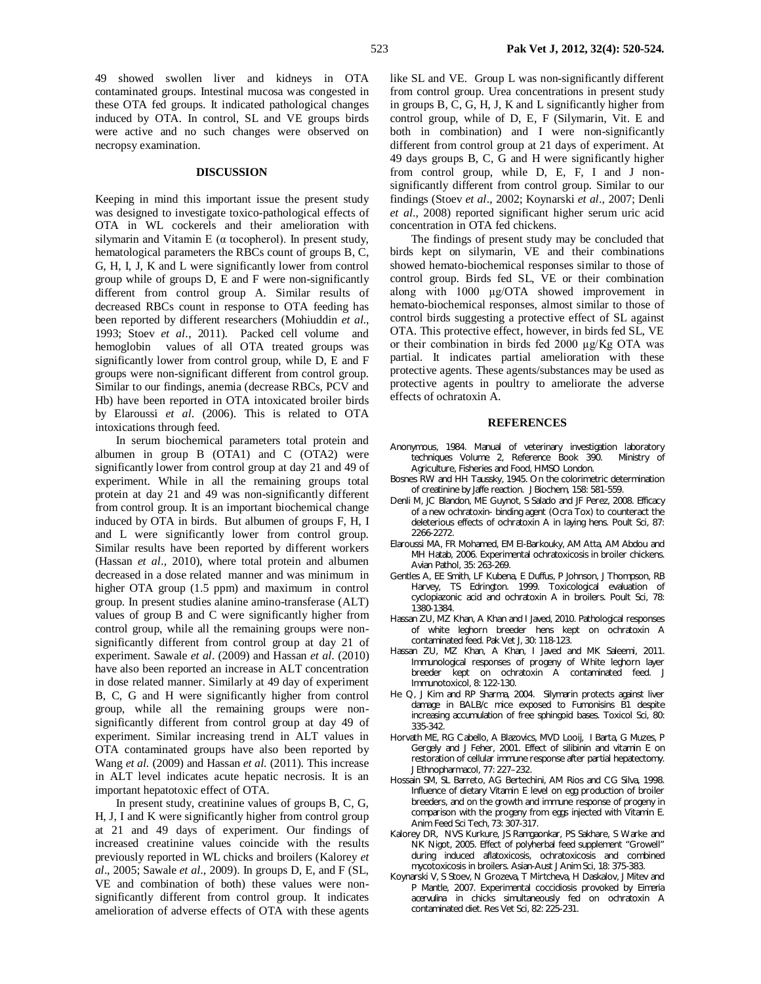49 showed swollen liver and kidneys in OTA contaminated groups. Intestinal mucosa was congested in these OTA fed groups. It indicated pathological changes induced by OTA. In control, SL and VE groups birds were active and no such changes were observed on necropsy examination.

#### **DISCUSSION**

Keeping in mind this important issue the present study was designed to investigate toxico-pathological effects of OTA in WL cockerels and their amelioration with silymarin and Vitamin E ( $\alpha$  tocopherol). In present study, hematological parameters the RBCs count of groups B, C, G, H, I, J, K and L were significantly lower from control group while of groups D, E and F were non-significantly different from control group A. Similar results of decreased RBCs count in response to OTA feeding has been reported by different researchers (Mohiuddin *et al*., 1993; Stoev *et al*., 2011). Packed cell volume and hemoglobin values of all OTA treated groups was significantly lower from control group, while D, E and F groups were non-significant different from control group. Similar to our findings, anemia (decrease RBCs, PCV and Hb) have been reported in OTA intoxicated broiler birds by Elaroussi *et al*. (2006). This is related to OTA intoxications through feed.

In serum biochemical parameters total protein and albumen in group B (OTA1) and C (OTA2) were significantly lower from control group at day 21 and 49 of experiment. While in all the remaining groups total protein at day 21 and 49 was non-significantly different from control group. It is an important biochemical change induced by OTA in birds. But albumen of groups F, H, I and L were significantly lower from control group. Similar results have been reported by different workers (Hassan *et al*., 2010), where total protein and albumen decreased in a dose related manner and was minimum in higher OTA group (1.5 ppm) and maximum in control group. In present studies alanine amino-transferase (ALT) values of group B and C were significantly higher from control group, while all the remaining groups were nonsignificantly different from control group at day 21 of experiment. Sawale *et al*. (2009) and Hassan *et al*. (2010) have also been reported an increase in ALT concentration in dose related manner. Similarly at 49 day of experiment B, C, G and H were significantly higher from control group, while all the remaining groups were nonsignificantly different from control group at day 49 of experiment. Similar increasing trend in ALT values in OTA contaminated groups have also been reported by Wang *et al.* (2009) and Hassan *et al.* (2011). This increase in ALT level indicates acute hepatic necrosis. It is an important hepatotoxic effect of OTA.

In present study, creatinine values of groups B, C, G, H, J, I and K were significantly higher from control group at 21 and 49 days of experiment. Our findings of increased creatinine values coincide with the results previously reported in WL chicks and broilers (Kalorey *et al*., 2005; Sawale *et al*., 2009). In groups D, E, and F (SL, VE and combination of both) these values were nonsignificantly different from control group. It indicates amelioration of adverse effects of OTA with these agents

like SL and VE. Group L was non-significantly different from control group. Urea concentrations in present study in groups B, C, G, H, J, K and L significantly higher from control group, while of D, E, F (Silymarin, Vit. E and both in combination) and I were non-significantly different from control group at 21 days of experiment. At 49 days groups B, C, G and H were significantly higher from control group, while D, E, F, I and J nonsignificantly different from control group. Similar to our findings (Stoev *et al*., 2002; Koynarski *et al*., 2007; Denli *et al*., 2008) reported significant higher serum uric acid concentration in OTA fed chickens.

The findings of present study may be concluded that birds kept on silymarin, VE and their combinations showed hemato-biochemical responses similar to those of control group. Birds fed SL, VE or their combination along with 1000 µg/OTA showed improvement in hemato-biochemical responses, almost similar to those of control birds suggesting a protective effect of SL against OTA. This protective effect, however, in birds fed SL, VE or their combination in birds fed 2000 µg/Kg OTA was partial. It indicates partial amelioration with these protective agents. These agents/substances may be used as protective agents in poultry to ameliorate the adverse effects of ochratoxin A.

#### **REFERENCES**

- Anonymous, 1984. Manual of veterinary investigation laboratory techniques Volume 2, Reference Book 390. Ministry of Agriculture, Fisheries and Food, HMSO London.
- Bosnes RW and HH Taussky, 1945. On the colorimetric determination of creatinine by Jaffe reaction. J Biochem, 158: 581-559.
- Denli M, JC Blandon, ME Guynot, S Salado and JF Perez, 2008. Efficacy of a new ochratoxin- binding agent (Ocra Tox) to counteract the deleterious effects of ochratoxin A in laying hens. Poult Sci, 87: 2266-2272.
- Elaroussi MA, FR Mohamed, EM El-Barkouky, AM Atta, AM Abdou and MH Hatab, 2006. Experimental ochratoxicosis in broiler chickens. Avian Pathol, 35: 263-269.
- Gentles A, EE Smith, LF Kubena, E Duffus, P Johnson, J Thompson, RB Harvey, TS Edrington. 1999. Toxicological evaluation of cyclopiazonic acid and ochratoxin A in broilers. Poult Sci, 78: 1380-1384.
- Hassan ZU, MZ Khan, A Khan and I Javed, 2010. Pathological responses of white leghorn breeder hens kept on ochratoxin A contaminated feed. Pak Vet J, 30: 118-123.
- Hassan ZU, MZ Khan, A Khan, I Javed and MK Saleemi, 2011. Immunological responses of progeny of White leghorn layer breeder kept on ochratoxin A contaminated feed. J Immunotoxicol, 8: 122-130.
- He Q, J Kim and RP Sharma, 2004. Silymarin protects against liver damage in BALB/c mice exposed to Fumonisins B1 despite increasing accumulation of free sphingoid bases. Toxicol Sci, 80: 335-342.
- Horvath ME, RG Cabello, A Blazovics, MVD Looij, I Barta, G Muzes, P Gergely and J Feher, 2001. Effect of silibinin and vitamin E on restoration of cellular immune response after partial hepatectomy. J Ethnopharmacol, 77: 227–232.
- Hossain SM, SL Barreto, AG Bertechini, AM Rios and CG Silva, 1998. Influence of dietary Vitamin E level on egg production of broiler breeders, and on the growth and immune response of progeny in comparison with the progeny from eggs injected with Vitamin E. Anim Feed Sci Tech*,* 73: 307-317.
- Kalorey DR, NVS Kurkure, JS Ramgaonkar, PS Sakhare, S Warke and NK Nigot, 2005. Effect of polyherbal feed supplement "Growell" during induced aflatoxicosis, ochratoxicosis and combined mycotoxicosis in broilers. Asian-Aust J Anim Sci, 18: 375-383.
- Koynarski V, S Stoev, N Grozeva, T Mirtcheva, H Daskalov, J Mitev and P Mantle, 2007. Experimental coccidiosis provoked by *Eimeria acervulina* in chicks simultaneously fed on ochratoxin A contaminated diet. Res Vet Sci, 82: 225-231.